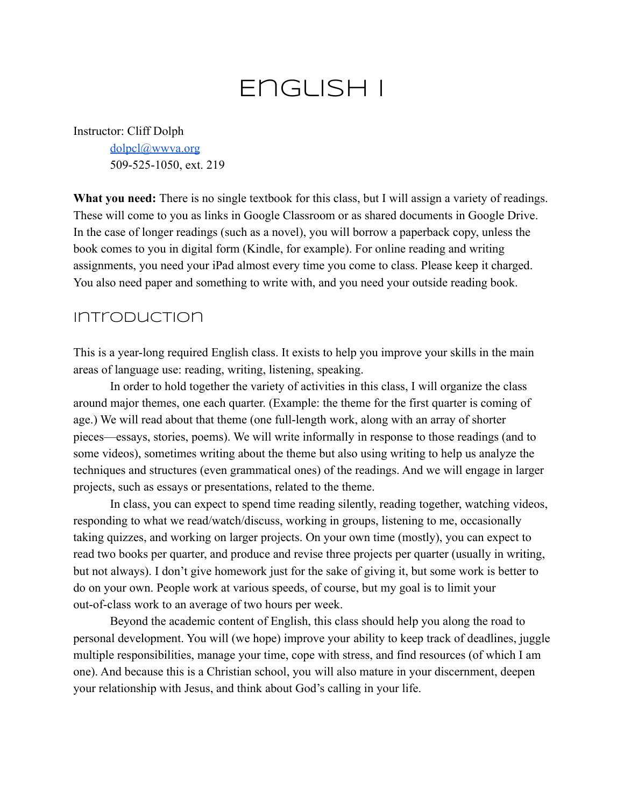## English I

Instructor: Cliff Dolph

[dolpcl@wwva.org](mailto:dolpcl@wwva.org) 509-525-1050, ext. 219

**What you need:** There is no single textbook for this class, but I will assign a variety of readings. These will come to you as links in Google Classroom or as shared documents in Google Drive. In the case of longer readings (such as a novel), you will borrow a paperback copy, unless the book comes to you in digital form (Kindle, for example). For online reading and writing assignments, you need your iPad almost every time you come to class. Please keep it charged. You also need paper and something to write with, and you need your outside reading book.

## Introduction

This is a year-long required English class. It exists to help you improve your skills in the main areas of language use: reading, writing, listening, speaking.

In order to hold together the variety of activities in this class, I will organize the class around major themes, one each quarter. (Example: the theme for the first quarter is coming of age.) We will read about that theme (one full-length work, along with an array of shorter pieces—essays, stories, poems). We will write informally in response to those readings (and to some videos), sometimes writing about the theme but also using writing to help us analyze the techniques and structures (even grammatical ones) of the readings. And we will engage in larger projects, such as essays or presentations, related to the theme.

In class, you can expect to spend time reading silently, reading together, watching videos, responding to what we read/watch/discuss, working in groups, listening to me, occasionally taking quizzes, and working on larger projects. On your own time (mostly), you can expect to read two books per quarter, and produce and revise three projects per quarter (usually in writing, but not always). I don't give homework just for the sake of giving it, but some work is better to do on your own. People work at various speeds, of course, but my goal is to limit your out-of-class work to an average of two hours per week.

Beyond the academic content of English, this class should help you along the road to personal development. You will (we hope) improve your ability to keep track of deadlines, juggle multiple responsibilities, manage your time, cope with stress, and find resources (of which I am one). And because this is a Christian school, you will also mature in your discernment, deepen your relationship with Jesus, and think about God's calling in your life.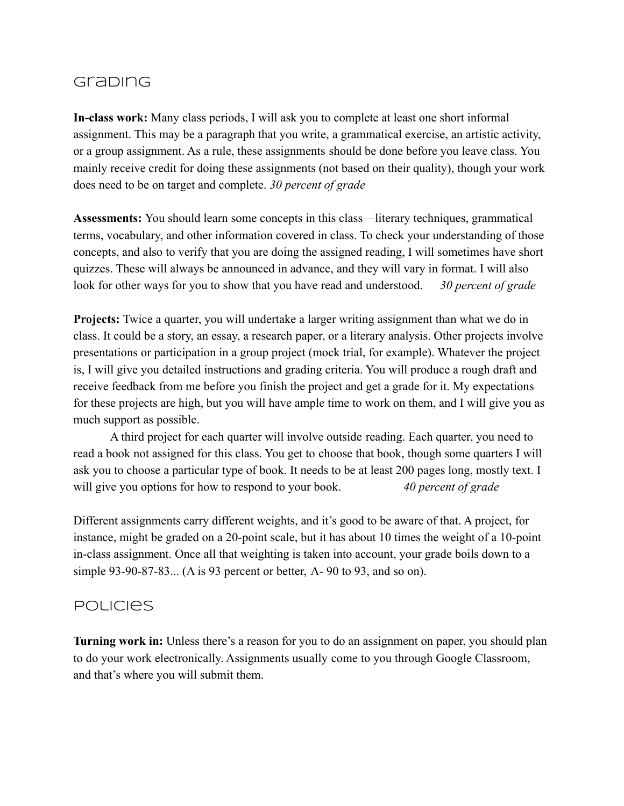## **Grabing**

**In-class work:** Many class periods, I will ask you to complete at least one short informal assignment. This may be a paragraph that you write, a grammatical exercise, an artistic activity, or a group assignment. As a rule, these assignments should be done before you leave class. You mainly receive credit for doing these assignments (not based on their quality), though your work does need to be on target and complete. *30 percent of grade*

**Assessments:** You should learn some concepts in this class—literary techniques, grammatical terms, vocabulary, and other information covered in class. To check your understanding of those concepts, and also to verify that you are doing the assigned reading, I will sometimes have short quizzes. These will always be announced in advance, and they will vary in format. I will also look for other ways for you to show that you have read and understood. *30 percent of grade*

**Projects:** Twice a quarter, you will undertake a larger writing assignment than what we do in class. It could be a story, an essay, a research paper, or a literary analysis. Other projects involve presentations or participation in a group project (mock trial, for example). Whatever the project is, I will give you detailed instructions and grading criteria. You will produce a rough draft and receive feedback from me before you finish the project and get a grade for it. My expectations for these projects are high, but you will have ample time to work on them, and I will give you as much support as possible.

A third project for each quarter will involve outside reading. Each quarter, you need to read a book not assigned for this class. You get to choose that book, though some quarters I will ask you to choose a particular type of book. It needs to be at least 200 pages long, mostly text. I will give you options for how to respond to your book. *40 percent of grade* 

Different assignments carry different weights, and it's good to be aware of that. A project, for instance, might be graded on a 20-point scale, but it has about 10 times the weight of a 10-point in-class assignment. Once all that weighting is taken into account, your grade boils down to a simple 93-90-87-83... (A is 93 percent or better, A- 90 to 93, and so on).

## **POLICIES**

**Turning work in:** Unless there's a reason for you to do an assignment on paper, you should plan to do your work electronically. Assignments usually come to you through Google Classroom, and that's where you will submit them.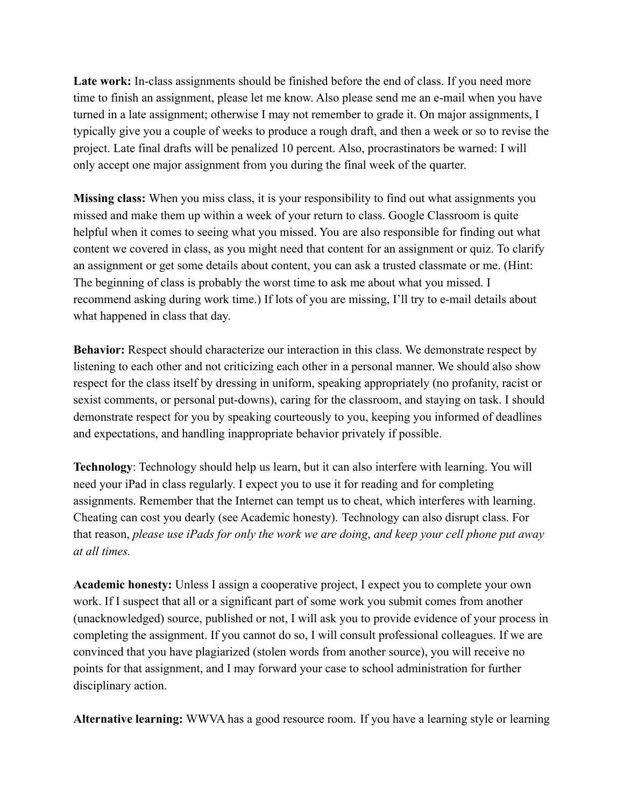**Late work:** In-class assignments should be finished before the end of class. If you need more time to finish an assignment, please let me know. Also please send me an e-mail when you have turned in a late assignment; otherwise I may not remember to grade it. On major assignments, I typically give you a couple of weeks to produce a rough draft, and then a week or so to revise the project. Late final drafts will be penalized 10 percent. Also, procrastinators be warned: I will only accept one major assignment from you during the final week of the quarter.

**Missing class:** When you miss class, it is your responsibility to find out what assignments you missed and make them up within a week of your return to class. Google Classroom is quite helpful when it comes to seeing what you missed. You are also responsible for finding out what content we covered in class, as you might need that content for an assignment or quiz. To clarify an assignment or get some details about content, you can ask a trusted classmate or me. (Hint: The beginning of class is probably the worst time to ask me about what you missed. I recommend asking during work time.) If lots of you are missing, I'll try to e-mail details about what happened in class that day.

**Behavior:** Respect should characterize our interaction in this class. We demonstrate respect by listening to each other and not criticizing each other in a personal manner. We should also show respect for the class itself by dressing in uniform, speaking appropriately (no profanity, racist or sexist comments, or personal put-downs), caring for the classroom, and staying on task. I should demonstrate respect for you by speaking courteously to you, keeping you informed of deadlines and expectations, and handling inappropriate behavior privately if possible.

**Technology**: Technology should help us learn, but it can also interfere with learning. You will need your iPad in class regularly. I expect you to use it for reading and for completing assignments. Remember that the Internet can tempt us to cheat, which interferes with learning. Cheating can cost you dearly (see Academic honesty). Technology can also disrupt class. For that reason, *please use iPads for only the work we are doing*, *and keep your cell phone put away at all times.*

**Academic honesty:** Unless I assign a cooperative project, I expect you to complete your own work. If I suspect that all or a significant part of some work you submit comes from another (unacknowledged) source, published or not, I will ask you to provide evidence of your process in completing the assignment. If you cannot do so, I will consult professional colleagues. If we are convinced that you have plagiarized (stolen words from another source), you will receive no points for that assignment, and I may forward your case to school administration for further disciplinary action.

**Alternative learning:** WWVA has a good resource room. If you have a learning style or learning